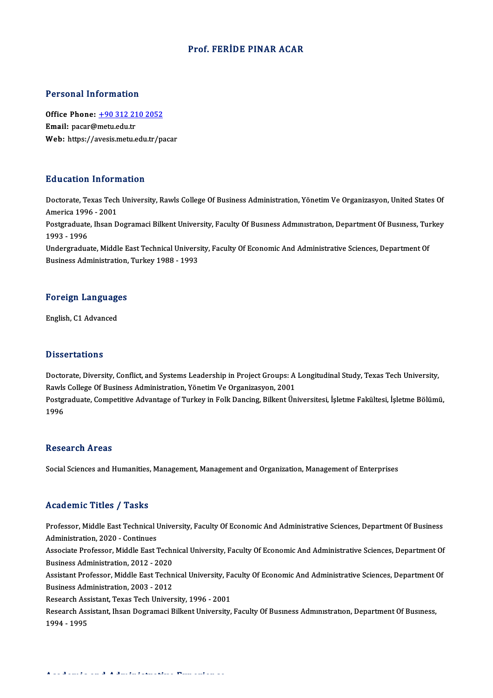### Prof. FERİDE PINAR ACAR

#### Personal Information

Personal Information<br>Office Phone: <u>+90 312 210 2052</u><br>Email: pacar@matu.cdu.tr Procession internation<br>Office Phone: <u>+90 312 21</u><br>Email: pacar@metu.edu.tr Email: pacar@metu.edu.tr<br>Web: https://a[vesis.metu.edu.tr/p](tel:+90 312 210 2052)acar

### Education Information

Education Information<br>Doctorate, Texas Tech University, Rawls College Of Business Administration, Yönetim Ve Organizasyon, United States Of<br>America 1996 – 2001 Matematica 1996 - 2001<br>America 1996 - 2001<br>Bestareduate Jhean D Doctorate, Texas Tech University, Rawls College Of Business Administration, Yönetim Ve Organizasyon, United States Of<br>America 1996 - 2001<br>Postgraduate, Ihsan Dogramaci Bilkent University, Faculty Of Busıness Administration

America 199<br>Postgraduate<br>1993 - 1996<br>Undergradue Postgraduate, Ihsan Dogramaci Bilkent University, Faculty Of Business Administration, Department Of Business, Tui<br>1993 - 1996<br>Undergraduate, Middle East Technical University, Faculty Of Economic And Administrative Sciences

1993 - 1996<br>Undergraduate, Middle East Technical University, Faculty Of Economic And Administrative Sciences, Department Of<br>Business Administration, Turkey 1988 - 1993

## **Business Administration,<br>Foreign Languages** <mark>Foreign Languag</mark><br>English, C1 Advanced

English, C1 Advanced<br>Dissertations

Dissertations<br>Doctorate, Diversity, Conflict, and Systems Leadership in Project Groups: A Longitudinal Study, Texas Tech University,<br>Ravis Collage Of Pusiness Administration, Vänetim Ve Organizacyon, 2001 Raylor Carrons<br>Doctorate, Diversity, Conflict, and Systems Leadership in Project Groups: A<br>Rawls College Of Business Administration, Yönetim Ve Organizasyon, 2001<br>Postareduate Compotitive Advantage of Turkey in Folk Dengin Doctorate, Diversity, Conflict, and Systems Leadership in Project Groups: A Longitudinal Study, Texas Tech University,<br>Rawls College Of Business Administration, Yönetim Ve Organizasyon, 2001<br>Postgraduate, Competitive Advan Rawls College Of Business Administration, Yönetim Ve Organizasyon, 2001<br>Postgraduate, Competitive Advantage of Turkey in Folk Dancing, Bilkent Üniversitesi, İşletme Fakültesi, İşletme Bölümü,<br>1996

### **Research Areas**

Social Sciences and Humanities, Management, Management and Organization, Management of Enterprises

### Academic Titles / Tasks

Academic Titles / Tasks<br>Professor, Middle East Technical University, Faculty Of Economic And Administrative Sciences, Department Of Business<br>Administration 2020, Continues Professor, Middle East Technical I<br>Administration, 2020 - Continues<br>Associate Brofessor, Middle Fest 3 Professor, Middle East Technical University, Faculty Of Economic And Administrative Sciences, Department Of Business<br>Administration, 2020 - Continues<br>Associate Professor, Middle East Technical University, Faculty Of Econom Administration, 2020 - Continues<br>Associate Professor, Middle East Techn<br>Business Administration, 2012 - 2020<br>Assistant Professor, Middle Fast Techn

Associate Professor, Middle East Technical University, Faculty Of Economic And Administrative Sciences, Department Of<br>Business Administration, 2012 - 2020<br>Assistant Professor, Middle East Technical University, Faculty Of E

Business Administration, 2012 - 2020<br>Assistant Professor, Middle East Techn<br>Business Administration, 2003 - 2012<br>Besearsh Assistant Teyes Tech Univer Assistant Professor, Middle East Technical University, Fa<br>Business Administration, 2003 - 2012<br>Research Assistant, Texas Tech University, 1996 - 2001<br>Research Assistant, Ibaan Degramesi Billiant University,

Business Administration, 2003 - 2012<br>Research Assistant, Texas Tech University, 1996 - 2001<br>Research Assistant, Ihsan Dogramaci Bilkent University, Faculty Of Busıness Admınıstratıon, Department Of Busıness, Research Ass<br>Research Ass<br>1994 - 1995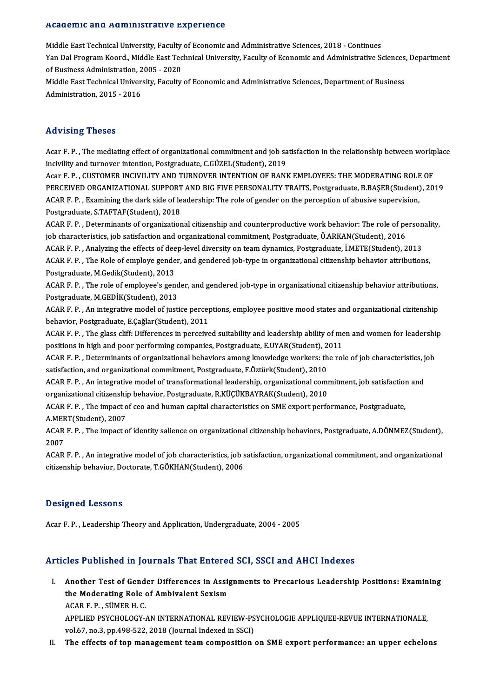#### Academic and Administrative Experience

A<mark>cademic and Administrative Experience</mark><br>Middle East Technical University, Faculty of Economic and Administrative Sciences, 2018 - Continues<br>Yan Dal Pregram Keard, Middle Fast Technical University, Faculty of Economic and Youwonne and Namimical dave Emportence<br>Middle East Technical University, Faculty of Economic and Administrative Sciences, 2018 - Continues<br>Yan Dal Program Koord., Middle East Technical University, Faculty of Economic and A Middle East Technical University, Faculty<br>Yan Dal Program Koord., Middle East Tec<br>of Business Administration, 2005 - 2020<br>Middle Fest Technical University, Faculty Yan Dal Program Koord., Middle East Technical University, Faculty of Economic and Administrative Sciences,<br>of Business Administration, 2005 - 2020<br>Middle East Technical University, Faculty of Economic and Administrative Sc

of Business Administration, 2005 - 2020<br>Middle East Technical University, Faculty of Economic and Administrative Sciences, Department of Business<br>Administration, 2015 - 2016

### Advising Theses

Acar F.P., The mediating effect of organizational commitment and job satisfaction in the relationship between workplace incivility and turnover intention, Postgraduate, C.GÜZEL(Student), 2019 Acar F. P. , The mediating effect of organizational commitment and job satisfaction in the relationship between workp<br>incivility and turnover intention, Postgraduate, C.GÜZEL(Student), 2019<br>Acar F. P. , CUSTOMER INCIVILITY

incivility and turnover intention, Postgraduate, C.GÜZEL(Student), 2019<br>Acar F. P. , CUSTOMER INCIVILITY AND TURNOVER INTENTION OF BANK EMPLOYEES: THE MODERATING ROLE OF<br>PERCEIVED ORGANIZATIONAL SUPPORT AND BIG FIVE PERSON Acar F. P. , CUSTOMER INCIVILITY AND TURNOVER INTENTION OF BANK EMPLOYEES: THE MODERATING ROLE<br>PERCEIVED ORGANIZATIONAL SUPPORT AND BIG FIVE PERSONALITY TRAITS, Postgraduate, B.BAŞER(Student)<br>ACAR F. P. , Examining the dar PERCEIVED ORGANIZATIONAL SUPPORT AND BIG FIVE PERSONALITY TRAITS, Postgraduate, B.BAŞER(Student), 2019<br>ACAR F. P. , Examining the dark side of leadership: The role of gender on the perception of abusive supervision,<br>Postgr ACAR F. P. , Examining the dark side of leadership: The role of gender on the perception of abusive supervision,<br>Postgraduate, S.TAFTAF(Student), 2018<br>ACAR F. P. , Determinants of organizational citizenship and counterprod

Postgraduate, S.TAFTAF(Student), 2018<br>ACAR F. P. , Determinants of organizational citizenship and counterproductive work behavior: The role of pe<br>Job characteristics, job satisfaction and organizational commitment, Postgra ACAR F. P. , Determinants of organizational citizenship and counterproductive work behavior: The role of person<br>job characteristics, job satisfaction and organizational commitment, Postgraduate, Ö.ARKAN(Student), 2016<br>ACAR

ACAR F. P., Analyzing the effects of deep-level diversity on team dynamics, Postgraduate, İ.METE(Student), 2013

job characteristics, job satisfaction and organizational commitment, Postgraduate, Ö.ARKAN(Student), 2016<br>ACAR F. P. , Analyzing the effects of deep-level diversity on team dynamics, Postgraduate, İ.METE(Student), 2013<br>ACA ACAR F. P. , The Role of employe gender, and gendered job-type in organizational citizenship behavior attributions,<br>Postgraduate, M.Gedik(Student), 2013<br>ACAR F. P. , The role of employee's gender, and gendered job-type in

Postgraduate, M.Gedik(Student), 2013<br>ACAR F. P. , The role of employee's gend<br>Postgraduate, M.GEDİK(Student), 2013<br>ACAR E. B. - An integrative medel of iusti ACAR F. P. , The role of employee's gender, and gendered job-type in organizational citizenship behavior attributions,<br>Postgraduate, M.GEDİK(Student), 2013<br>ACAR F. P. , An integrative model of justice perceptions, employee

Postgraduate, M.GEDİK(Student), 2013<br>ACAR F. P. , An integrative model of justice perceptions, employee positive mood states and organizational cizitenship<br>behavior, Postgraduate, E.Çağlar(Student), 2011 ACAR F. P. , An integrative model of justice perceptions, employee positive mood states and organizational cizitenship<br>behavior, Postgraduate, E.Çağlar(Student), 2011<br>ACAR F. P. , The glass cliff: Differences in perceived

behavior, Postgraduate, E.Çağlar(Student), 2011<br>ACAR F. P. , The glass cliff: Differences in perceived suitability and leadership ability of me<br>positions in high and poor performing companies, Postgraduate, E.UYAR(Student) ACAR F. P. , The glass cliff: Differences in perceived suitability and leadership ability of men and women for leadership<br>positions in high and poor performing companies, Postgraduate, E.UYAR(Student), 2011<br>ACAR F. P. , De

positions in high and poor performing companies, Postgraduate, E.UYAR(Student), 2011<br>ACAR F. P. , Determinants of organizational behaviors among knowledge workers: the ro<br>satisfaction, and organizational commitment, Postgr ACAR F.P., Determinants of organizational behaviors among knowledge workers: the role of job characteristics, job

satisfaction, and organizational commitment, Postgraduate, F.Öztürk(Student), 2010<br>ACAR F. P. , An integrative model of transformational leadership, organizational com<br>organizational citizenship behavior, Postgraduate, R.K ACAR F. P. , An integrative model of transformational leadership, organizational commitment, job satisfaction and organizational citizenship behavior, Postgraduate, R.KÜÇÜKBAYRAK(Student), 2010<br>ACAR F. P. , The impact of c

organizational citizenshi<br>ACAR F. P. , The impact of<br>A.MERT(Student), 2007 ACAR F. P. , The impact of ceo and human capital characteristics on SME export performance, Postgraduate,<br>A.MERT(Student), 2007<br>ACAR F. P. , The impact of identity salience on organizational citizenship behaviors, Postgrad

A MEF<br>ACAR<br>2007<br>ACAR

2007<br>ACAR F. P. , An integrative model of job characteristics, job satisfaction, organizational commitment, and organizational citizenship behavior, Doctorate, T.GÖKHAN(Student), 2006

### Designed Lessons

Acar F.P., Leadership Theory and Application, Undergraduate, 2004 - 2005

### Articles Published in Journals That Entered SCI, SSCI and AHCI Indexes

- I. Another Test of Gender Differences in Assignments to Precarious Leadership Positions: Examining Another Test of Gender Differences in Assigned Moderating Role of Ambivalent Sexism Another Test of Gend<br>the Moderating Role<br>ACAR F. P. , SÜMER H. C.<br>APPLED PSYCHOLOCY ACAR F. P. , SÜMER H. C.<br>APPLIED PSYCHOLOGY-AN INTERNATIONAL REVIEW-PSYCHOLOGIE APPLIQUEE-REVUE INTERNATIONALE, vol.67, no.3, pp.498-522, 2018 (Journal Indexed in SSCI)
- II. The effects of top management team composition on SME export performance: an upper echelons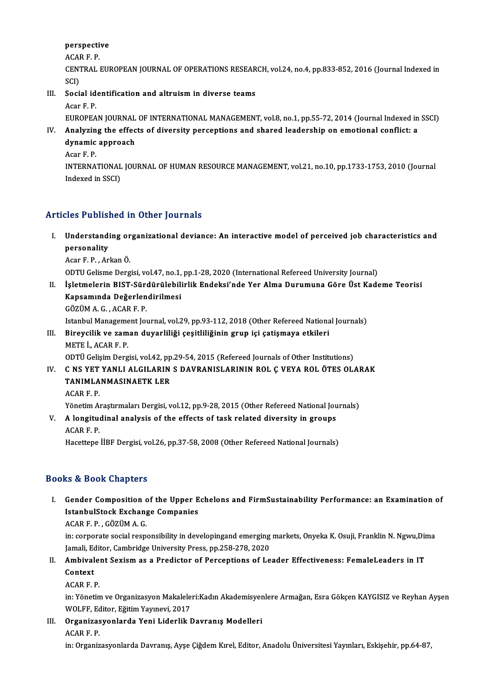## perspective<br>^C^P E P **perspecti**<br>ACAR F. P.<br>CENTRAL 1

perspective<br>ACAR F. P.<br>CENTRAL EUROPEAN JOURNAL OF OPERATIONS RESEARCH, vol.24, no.4, pp.833-852, 2016 (Journal Indexed in<br>SCD ACAI<br>CENT<br>SCI)<br>Sesi CENTRAL EUROPEAN JOURNAL OF OPERATIONS RESEAR<br>SCI)<br>III. Social identification and altruism in diverse teams<br>Acar E. B

## SCI)<br>III. Social identification and altruism in diverse teams<br>Acar F.P.

Social identification and altruism in diverse teams<br>Acar F. P.<br>EUROPEAN JOURNAL OF INTERNATIONAL MANAGEMENT, vol.8, no.1, pp.55-72, 2014 (Journal Indexed in SSCI)<br>Analyzing the effects of diversity persentions and shared l

- Acar F. P.<br>EUROPEAN JOURNAL OF INTERNATIONAL MANAGEMENT, vol.8, no.1, pp.55-72, 2014 (Journal Indexed in<br>IV. Analyzing the effects of diversity perceptions and shared leadership on emotional conflict: a<br>dynamic anaroac EUROPEAN JOURNAL<br>Analyzing the effec<br>dynamic approach<br>Acar E B IV. Analyzing the effects of diversity perceptions and shared leadership on emotional conflict: a dynamic approach  $\frac{1}{2}$  Acar F. P.
	-

dynamic approach<br>Acar F. P.<br>INTERNATIONAL JOURNAL OF HUMAN RESOURCE MANAGEMENT, vol.21, no.10, pp.1733-1753, 2010 (Journal<br>Indoved in SSCD Acar F. P.<br>INTERNATIONAL<br>Indexed in SSCI)

## Articles Published in Other Journals

- I. Understanding organizational deviance: An interactivemodel of perceived job characteristics and personality<br>Acar F. P. , Arkan Ö. Understanding or<br>personality<br>Acar F. P. , Arkan Ö.<br>OPTU Calisme Ders personality<br>Acar F. P. , Arkan Ö.<br>ODTU Gelisme Dergisi, vol.47, no.1, pp.1-28, 2020 (International Refereed University Journal)<br>İslatmalarin PIST, Sürdürülebilirlik Endeksi'nde Ver, Alma Durumuna Göre Üst Kade
	-

- Acar F. P. , Arkan Ö.<br>ODTU Gelisme Dergisi, vol.47, no.1, pp.1-28, 2020 (International Refereed University Journal)<br>II. İşletmelerin BIST-Sürdürülebilirlik Endeksi'nde Yer Alma Durumuna Göre Üst Kademe Teorisi<br>Kansamın ODTU Gelisme Dergisi, vol.47, no.1,<br>İşletmelerin BIST-Sürdürülebili<br>Kapsamında Değerlendirilmesi<br>CÖZÜMAC ACAPE P İşletmelerin BIST-Süre<br>Kapsamında Değerlen<br>GÖZÜM A. G. , ACAR F. P.<br>Istanbul Manasamant Iol Kapsamında Değerlendirilmesi<br>GÖZÜM A. G. , ACAR F. P.<br>Istanbul Management Journal, vol.29, pp.93-112, 2018 (Other Refereed National Journals)<br>Pirovailik ve zaman duvarliliği sesitliliğinin grup isi satismaya atkileri GÖZÜM A. G. , ACAR F. P.<br>Istanbul Management Journal, vol.29, pp.93-112, 2018 (Other Refereed Nationa<br>III. Bireycilik ve zaman duyarliliği çeşitliliğinin grup içi çatişmaya etkileri<br>METE İ. ACAR E. P.
- Istanbul Manageme<br>Bireycilik ve zam<br>METE İ., ACAR F. P.<br>ODTÜ Celisim Derg Bireycilik ve zaman duyarliliği çeşitliliğinin grup içi çatişmaya etkileri<br>METE İ., ACAR F. P.<br>ODTÜ Gelişim Dergisi, vol.42, pp.29-54, 2015 (Refereed Journals of Other Institutions)<br>C. NS. VET VANLL ALCU ARIN S. DAVRANISLA METE İ., ACAR F. P.<br>ODTÜ Gelişim Dergisi, vol.42, pp.29-54, 2015 (Refereed Journals of Other Institutions)<br>IV. C NS YET YANLI ALGILARIN S DAVRANISLARININ ROL Ç VEYA ROL ÖTES OLARAK<br>TANIMI ANMASINAETKLER
- ODTÜ Gelişim Dergisi, vol.42, pp<br>C NS YET YANLI ALGILARIN<br>TANIMLANMASINAETK LER<br>ACAP E P C NS YET<br>TANIMLA<br>ACAR F. P.<br>Vänstim A TANIMLANMASINAETK LER<br>ACAR F. P.<br>Yönetim Araştırmaları Dergisi, vol.12, pp.9-28, 2015 (Other Refereed National Journals)<br>A longitudinal analysis of the effects of task related diversity in groups
- ACAR F. P.<br>Yönetim Araştırmaları Dergisi, vol.12, pp.9-28, 2015 (Other Refereed National Jou<br>V. A longitudinal analysis of the effects of task related diversity in groups<br>ACAR F. P. Yönetim Al<br>**A longitu**<br>ACAR F. P.<br>Hacattana

Hacettepe İİBF Dergisi, vol.26, pp.37-58, 2008 (Other Refereed National Journals)

### Books&Book Chapters

- ooks & Book Chapters<br>I. Gender Composition of the Upper Echelons and FirmSustainability Performance: an Examination of<br>IstanbulSteck Exchange Companies Is a Book diapters<br>Gender Composition of the Upper E<br>IstanbulStock Exchange Companies **Gender Composition c<br>IstanbulStock Exchang<br>ACAR F. P. , GÖZÜM A. G.**<br>in: carnorate social resp. IstanbulStock Exchange Companies<br>ACAR F. P. , GÖZÜM A. G.<br>in: corporate social responsibility in developingand emerging markets, Onyeka K. Osuji, Franklin N. Ngwu,Dima
	-

ACAR F. P. , GÖZÜM A. G.<br>in: corporate social responsibility in developingand emerging<br>Jamali, Editor, Cambridge University Press, pp.258-278, 2020<br>Ambiyalant Soviam as a Prodistor of Persentions of Le in: corporate social responsibility in developingand emerging markets, Onyeka K. Osuji, Franklin N. Ngwu,Dir<br>Jamali, Editor, Cambridge University Press, pp.258-278, 2020<br>II. Ambivalent Sexism as a Predictor of Perceptions

## Jamali, Eq<br>**Ambival**<br>Context Ambivale:<br>Context<br>ACAR F. P.<br>in: <sup>Vänetin</sup>

Context<br>ACAR F. P.<br>in: Yönetim ve Organizasyon Makaleleri:Kadın Akademisyenlere Armağan, Esra Gökçen KAYGISIZ ve Reyhan Ayşen<br>WOLEE, Editor, Fğitim Younavi, 2017 ACAR F. P.<br>in: Yönetim ve Organizasyon Makalele:<br>WOLFF, Editor, Eğitim Yayınevi, 2017<br>Organizasyanlarda Yani Lidarlik I WOLFF, Editor, Eğitim Yayınevi, 2017

III. Organizasyonlarda Yeni Liderlik Davranış Modelleri<br>ACAR F. P.

in: Organizasyonlarda Davranış, Ayşe Çiğdem Kırel, Editor, Anadolu Üniversitesi Yayınları, Eskişehir, pp.64-87,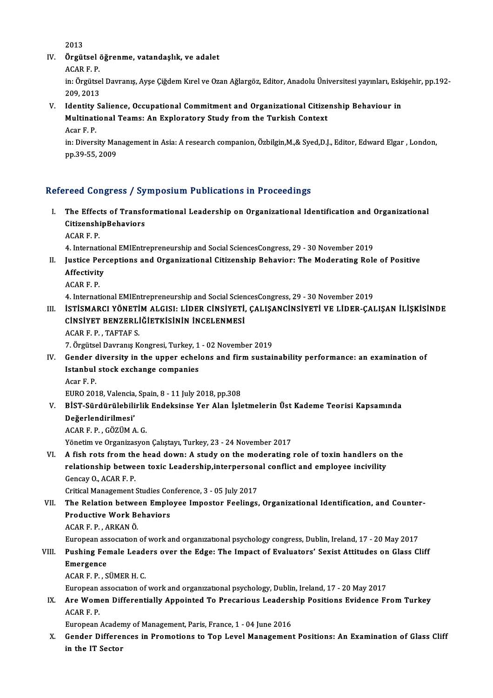2013

2013<br>IV. Örgütsel öğrenme, vatandaşlık, ve adalet<br>ACARE B 2013<br>**Örgütsel**<br>ACAR F. P.<br>in: Örgütse

Örgütsel öğrenme, vatandaşlık, ve adalet<br>ACAR F. P.<br>in: Örgütsel Davranış, Ayşe Çiğdem Kırel ve Ozan Ağlargöz, Editor, Anadolu Üniversitesi yayınları, Eskişehir, pp.192-ACAR F. P.<br>in: Örgütse<br>209, 2013<br>Idantity S

V. Identity Salience, Occupational Commitment and Organizational Citizenship Behaviour in 209, 2013<br>Identity Salience, Occupational Commitment and Organizational Citize<br>Multinational Teams: An Exploratory Study from the Turkish Context<br>Acar E. B **Identity<br>Multinat<br>Acar F. P.<br>in: Divers** Multinational Teams: An Exploratory Study from the Turkish Context<br>Acar F. P.<br>in: Diversity Management in Asia: A research companion, Özbilgin,M.,& Syed,D.J., Editor, Edward Elgar , London,<br>nn 20 EE 2009

Acar F. P.<br>in: Diversity Mai<br>pp.39-55, 2009

# pp.39-55, 2009<br>Refereed Congress / Symposium Publications in Proceedings

- efereed Congress / Symposium Publications in Proceedings<br>I. The Effects of Transformational Leadership on Organizational Identification and Organizational<br>CitizonshipPehaviors The Effects of Transform<br>CitizenshipBehaviors The Effec<br>Citizenshi<br>ACAR F. P.<br>4. Internat CitizenshipBehaviors<br>ACAR F. P.<br>4. International EMIEntrepreneurship and Social SciencesCongress, 29 - 30 November 2019<br>Justice Persentions and Oxsonizational Citizenship Behavior: The Mederating Polo
	-

- ACAR F. P.<br>4. International EMIEntrepreneurship and Social SciencesCongress, 29 30 November 2019<br>II. Justice Perceptions and Organizational Citizenship Behavior: The Moderating Role of Positive<br>Affostivity 4. Internatio<br>Justice Per<br>Affectivity<br>ACAP E P **Justice Pe<br>Affectivit:<br>ACAR F. P.<br>4. Internat** 4. International<br>ACAR F. P.<br>4. International EMIEntrepreneurship and Social SciencesCongress, 29 - 30 November 2019
	-

- ACAR F. P.<br>4. International EMIEntrepreneurship and Social SciencesCongress, 29 30 November 2019<br>III. İSTİSMARCI YÖNETİM ALGISI: LİDER CİNSİYETİ, ÇALIŞANCİNSİYETİ VE LİDER-ÇALIŞAN İLİŞKİSİNDE<br>CİNSİYET PENZERI İĞİETKİ 4. International EMIEntrepreneurship and Social Scien<br>İSTİSMARCI YÖNETİM ALGISI: LİDER CİNSİYETİ,<br>CİNSİYET BENZERLİĞİETKİSİNİN İNCELENMESİ<br>ACAP E B. TAETAE S <mark>istismarcı yöneti</mark><br>Cinsiyet Benzerli<br>ACAR F. P. , TAFTAF S.<br>7. Örgütel Deyrane K CINSIYET BENZERLIĞIETKISININ INCELENMESI<br>ACAR F. P. , TAFTAF S.<br>7. Örgütsel Davranış Kongresi, Turkey, 1 - 02 November 2019<br>Conder diversity in the unner eshelens and firm sustai
	-

ACAR F. P. , TAFTAF S.<br>7. Örgütsel Davranış Kongresi, Turkey, 1 - 02 November 2019<br>IV. Gender diversity in the upper echelons and firm sustainability performance: an examination of 7. Örgütsel Davranış Kongresi, Turkey, 1<br>Gender diversity in the upper echel<br>Istanbul stock exchange companies<br>Acar E. B **Gender**<br>I<mark>stanbul</mark><br>Acar F. P.<br>EUPO 201 Istanbul stock exchange companies<br>Acar F. P.<br>EURO 2018, Valencia, Spain, 8 - 11 July 2018, pp.308<br>PİST Sündürülebilinlik Endeksines Ven Alan İsk

Acar F. P.<br>EURO 2018, Valencia, Spain, 8 - 11 July 2018, pp.308<br>V. BİST-Sürdürülebilirlik Endeksinse Yer Alan İşletmelerin Üst Kademe Teorisi Kapsamında<br>Değerlendirilmesi' EURO 2018, Valencia,<br>BİST-Sürdürülebili<br>Değerlendirilmesi'<br>ACAB E.B. GÖZÜMA BİST-Sürdürülebilirlik<br>Değerlendirilmesi'<br>ACAR F. P. , GÖZÜM A. G.<br><sup>Vänatim</sup> ve Oxsanizasyon Değerlendirilmesi'<br>ACAR F. P. , GÖZÜM A. G.<br>Yönetim ve Organizasyon Çalıştayı, Turkey, 23 - 24 November 2017

VI. A fish rots from the head down: A study on the moderating role of toxin handlers on the Yönetim ve Organizasyon Çalıştayı, Turkey, 23 - 24 November 2017<br>A fish rots from the head down: A study on the moderating role of toxin handlers on<br>relationship between toxic Leadership,interpersonal conflict and employee A fish rots from the<br>relationship betwe<br>Gencay O., ACAR F. P.<br>Critical Managament i relationship between toxic Leadership,interperson:<br>Gencay O., ACAR F. P.<br>Critical Management Studies Conference, 3 - 05 July 2017<br>The Belation between Empleyee Impester Feelings

Gencay O., ACAR F. P.<br>Critical Management Studies Conference, 3 - 05 July 2017<br>VII. The Relation between Employee Impostor Feelings, Organizational Identification, and Counter-<br>Productive Work Behaviors Critical Management Studies Com<br>The Relation between Emplo<br>Productive Work Behaviors<br>ACAP E P - APKAN Ö The Relation betwee<br>Productive Work Be<br>ACAR F. P. , ARKAN Ö.<br>European sesegration Productive Work Behaviors<br>ACAR F. P. , ARKAN Ö.<br>European association of work and organizational psychology congress, Dublin, Ireland, 17 - 20 May 2017

### ACAR F. P. , ARKAN Ö.<br>European association of work and organizational psychology congress, Dublin, Ireland, 17 - 20 May 2017<br>VIII. Pushing Female Leaders over the Edge: The Impact of Evaluators' Sexist Attitudes on Glass C European as:<br>Pushing Fel<br>Emergence<br>ACAP E P. S Pushing Female Lead<br>Emergence<br>ACAR F. P. , SÜMER H. C.<br>European sesecration of Emergence<br>ACAR F. P. , SÜMER H. C.<br>European association of work and organizational psychology, Dublin, Ireland, 17 - 20 May 2017

ACAR F. P. , SÜMER H. C.<br>European association of work and organizational psychology, Dublin, Ireland, 17 - 20 May 2017<br>IX. Are Women Differentially Appointed To Precarious Leadership Positions Evidence From Turkey<br>ACAR European<br>**Are Wom<br>ACAR F. P.**<br>European Are Women Differentially Appointed To Precarious Leaders<br>ACAR F. P.<br>European Academy of Management, Paris, France, 1 - 04 June 2016<br>Conder Differences in Promotions to Ton Level Management

European Academy of Management, Paris, France, 1 - 04 June 2016

ACAR F. P.<br>European Academy of Management, Paris, France, 1 - 04 June 2016<br>X. Gender Differences in Promotions to Top Level Management Positions: An Examination of Glass Cliff<br>in the IT Sector